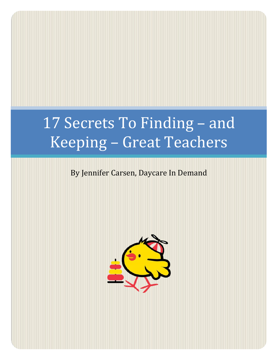# 17 Secrets To Finding – and Keeping – Great Teachers

# By Jennifer Carsen, Daycare In Demand

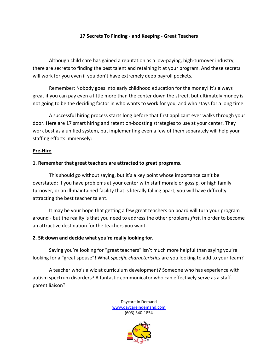#### **17 Secrets To Finding - and Keeping - Great Teachers**

Although child care has gained a reputation as a low-paying, high-turnover industry, there are secrets to finding the best talent and retaining it at your program. And these secrets will work for you even if you don't have extremely deep payroll pockets.

Remember: Nobody goes into early childhood education for the money! It's always great if you can pay even a little more than the center down the street, but ultimately money is not going to be the deciding factor in who wants to work for you, and who stays for a long time.

A successful hiring process starts long before that first applicant ever walks through your door. Here are 17 smart hiring and retention-boosting strategies to use at your center. They work best as a unified system, but implementing even a few of them separately will help your staffing efforts immensely:

#### **Pre-Hire**

#### **1. Remember that great teachers are attracted to great programs.**

This should go without saying, but it's a key point whose importance can't be overstated: If you have problems at your center with staff morale or gossip, or high family turnover, or an ill-maintained facility that is literally falling apart, you will have difficulty attracting the best teacher talent.

It may be your hope that getting a few great teachers on board will turn your program around - but the reality is that you need to address the other problems *first*, in order to become an attractive destination for the teachers you want.

#### **2. Sit down and decide what you're really looking for.**

Saying you're looking for "great teachers" isn't much more helpful than saying you're looking for a "great spouse"! What *specific characteristics* are you looking to add to your team?

A teacher who's a wiz at curriculum development? Someone who has experience with autism spectrum disorders? A fantastic communicator who can effectively serve as a staffparent liaison?

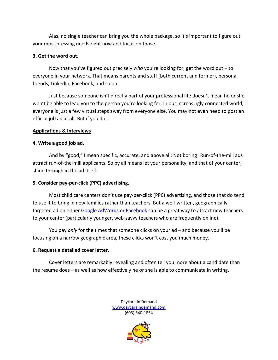Alas, no single teacher can bring you the whole package, so it's important to figure out your most pressing needs right now and focus on those.

# **3. Get the word out.**

Now that you've figured out precisely *who* you're looking for, get the word out – to everyone in your network. That means parents and staff (both current and former), personal friends, LinkedIn, Facebook, and so on.

Just because someone isn't directly part of your professional life doesn't mean he or she won't be able to lead you to the person you're looking for. In our increasingly connected world, everyone is just a few virtual steps away from everyone else. You may not even need to post an official job ad at all. But if you do…

## **Applications & Interviews**

## **4. Write a good job ad.**

And by "good," I mean specific, accurate, and above all: Not boring! Run-of-the-mill ads attract run-of-the-mill applicants. So by all means let your personality, and that of your center, shine through in the ad itself.

## **5. Consider pay-per-click (PPC) advertising.**

Most child care centers don't use pay-per-click (PPC) advertising, and those that do tend to use it to bring in new families rather than teachers. But a well-written, geographically targeted ad on either [Google AdWords](http://adwords.google.com/) or [Facebook](https://www.facebook.com/advertising) can be a great way to attract new teachers to your center (particularly younger, web-savvy teachers who are frequently online).

You pay *only* for the times that someone clicks on your ad – and because you'll be focusing on a narrow geographic area, these clicks won't cost you much money.

## **6. Request a detailed cover letter.**

Cover letters are remarkably revealing and often tell you more about a candidate than the resume does – as well as how effectively he or she is able to communicate in writing.

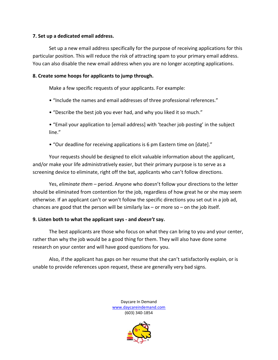#### **7. Set up a dedicated email address.**

Set up a new email address specifically for the purpose of receiving applications for this particular position. This will reduce the risk of attracting spam to your primary email address. You can also disable the new email address when you are no longer accepting applications.

#### **8. Create some hoops for applicants to jump through.**

Make a few specific requests of your applicants. For example:

- "Include the names and email addresses of three professional references."
- "Describe the best job you ever had, and why you liked it so much."
- "Email your application to [email address] with 'teacher job posting' in the subject line."
- "Our deadline for receiving applications is 6 pm Eastern time on [date]."

Your requests should be designed to elicit valuable information about the applicant, and/or make your life administratively easier, but their primary purpose is to serve as a screening device to eliminate, right off the bat, applicants who can't follow directions.

Yes, *eliminate them* – period. Anyone who doesn't follow your directions to the letter should be eliminated from contention for the job, regardless of how great he or she may seem otherwise. If an applicant can't or won't follow the specific directions you set out in a job ad, chances are good that the person will be similarly lax  $-$  or more so  $-$  on the job itself.

## **9. Listen both to what the applicant says - and** *doesn't* **say.**

The best applicants are those who focus on what they can bring to you and your center, rather than why the job would be a good thing for them. They will also have done some research on your center and will have good questions for you.

Also, if the applicant has gaps on her resume that she can't satisfactorily explain, or is unable to provide references upon request, these are generally very bad signs.

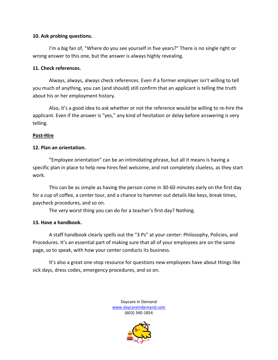#### **10. Ask probing questions.**

I'm a big fan of, "Where do you see yourself in five years?" There is no single right or wrong answer to this one, but the answer is always highly revealing.

#### **11. Check references.**

Always, always, always check references. Even if a former employer isn't willing to tell you much of anything, you can (and should) still confirm that an applicant is telling the truth about his or her employment history.

Also, it's a good idea to ask whether or not the reference would be willing to re-hire the applicant. Even if the answer is "yes," any kind of hesitation or delay before answering is very telling.

#### **Post-Hire**

## **12. Plan an orientation.**

"Employee orientation" can be an intimidating phrase, but all it means is having a specific plan in place to help new hires feel welcome, and not completely clueless, as they start work.

This can be as simple as having the person come in 30-60 minutes early on the first day for a cup of coffee, a center tour, and a chance to hammer out details like keys, break times, paycheck procedures, and so on.

The very worst thing you can do for a teacher's first day? Nothing.

## **13. Have a handbook.**

A staff handbook clearly spells out the "3 Ps" at your center: Philosophy, Policies, and Procedures. It's an essential part of making sure that all of your employees are on the same page, so to speak, with how your center conducts its business.

It's also a great one-stop resource for questions new employees have about things like sick days, dress codes, emergency procedures, and so on.

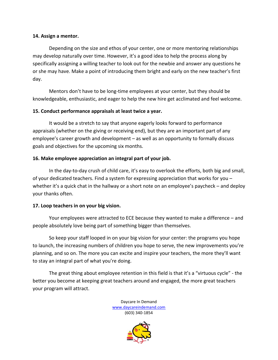#### **14. Assign a mentor.**

Depending on the size and ethos of your center, one or more mentoring relationships may develop naturally over time. However, it's a good idea to help the process along by specifically assigning a willing teacher to look out for the newbie and answer any questions he or she may have. Make a point of introducing them bright and early on the new teacher's first day.

Mentors don't have to be long-time employees at your center, but they should be knowledgeable, enthusiastic, and eager to help the new hire get acclimated and feel welcome.

## **15. Conduct performance appraisals at least twice a year.**

It would be a stretch to say that anyone eagerly looks forward to performance appraisals (whether on the giving or receiving end), but they are an important part of any employee's career growth and development – as well as an opportunity to formally discuss goals and objectives for the upcoming six months.

## **16. Make employee appreciation an integral part of your job.**

In the day-to-day crush of child care, it's easy to overlook the efforts, both big and small, of your dedicated teachers. Find a system for expressing appreciation that works for you – whether it's a quick chat in the hallway or a short note on an employee's paycheck – and deploy your thanks often.

## **17. Loop teachers in on your big vision.**

Your employees were attracted to ECE because they wanted to make a difference – and people absolutely love being part of something bigger than themselves.

So keep your staff looped in on your big vision for your center: the programs you hope to launch, the increasing numbers of children you hope to serve, the new improvements you're planning, and so on. The more you can excite and inspire your teachers, the more they'll want to stay an integral part of what you're doing.

The great thing about employee retention in this field is that it's a "virtuous cycle" - the better you become at keeping great teachers around and engaged, the more great teachers your program will attract.

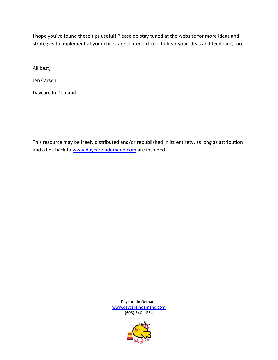I hope you've found these tips useful! Please do stay tuned at the website for more ideas and strategies to implement at your child care center. I'd love to hear your ideas and feedback, too.

All best,

Jen Carsen

Daycare In Demand

This resource may be freely distributed and/or republished in its entirety, as long as attribution and a link back to [www.daycareindemand.com](http://www.daycareindemand.com/) are included.